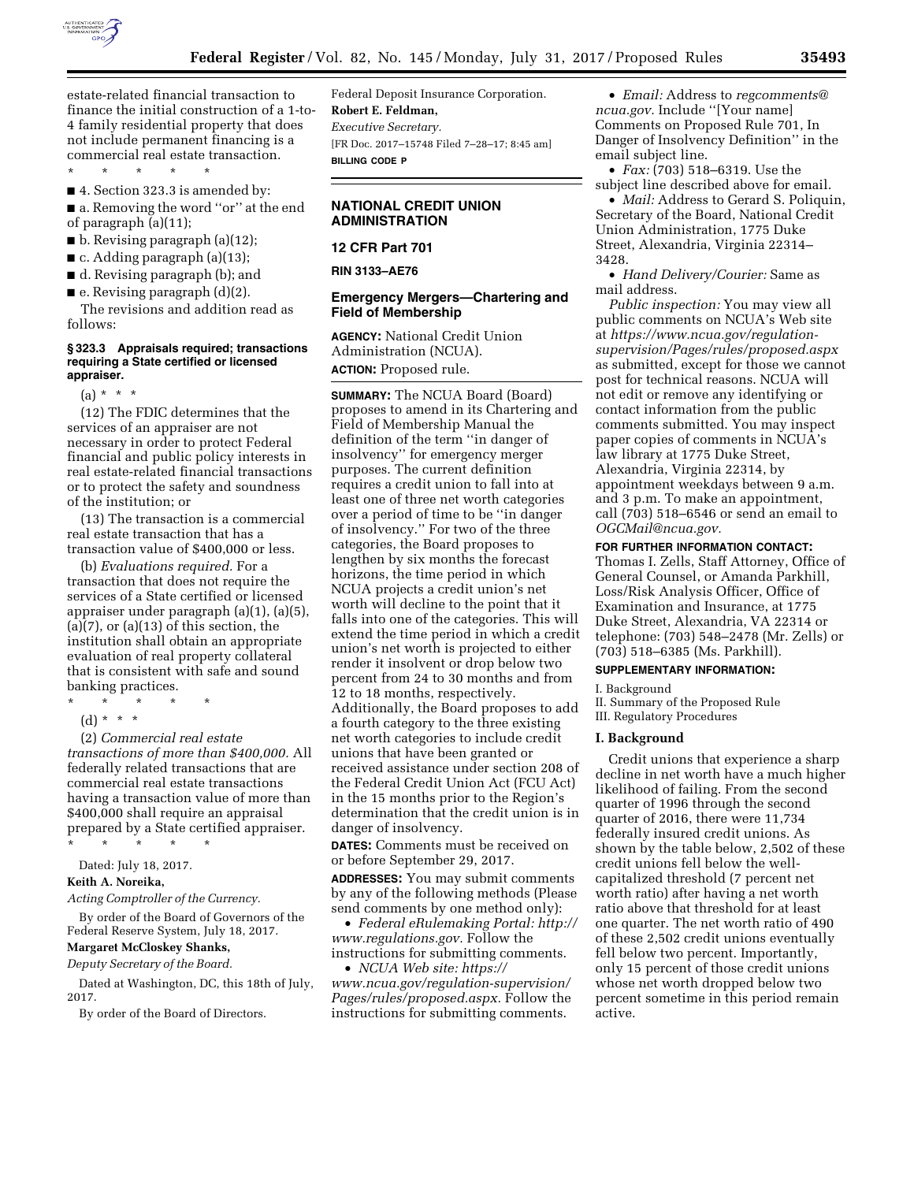

estate-related financial transaction to finance the initial construction of a 1-to-4 family residential property that does not include permanent financing is a commercial real estate transaction.

\* \* \* \* \* ■ 4. Section 323.3 is amended by:

■ a. Removing the word "or" at the end of paragraph (a)(11);

- $\blacksquare$  b. Revising paragraph (a)(12);
- c. Adding paragraph (a)(13);

■ d. Revising paragraph (b); and

 $\blacksquare$  e. Revising paragraph  $(d)(2)$ .

The revisions and addition read as follows:

#### **§ 323.3 Appraisals required; transactions requiring a State certified or licensed appraiser.**

 $(a) * * * *$ 

(12) The FDIC determines that the services of an appraiser are not necessary in order to protect Federal financial and public policy interests in real estate-related financial transactions or to protect the safety and soundness of the institution; or

(13) The transaction is a commercial real estate transaction that has a transaction value of \$400,000 or less.

(b) *Evaluations required.* For a transaction that does not require the services of a State certified or licensed appraiser under paragraph (a)(1), (a)(5),  $(a)(7)$ , or  $(a)(13)$  of this section, the institution shall obtain an appropriate evaluation of real property collateral that is consistent with safe and sound banking practices.

\* \* \* \* \*

(d) \* \* \*

(2) *Commercial real estate transactions of more than \$400,000.* All federally related transactions that are commercial real estate transactions having a transaction value of more than \$400,000 shall require an appraisal prepared by a State certified appraiser. \* \* \* \* \*

Dated: July 18, 2017.

**Keith A. Noreika,** 

*Acting Comptroller of the Currency.* 

By order of the Board of Governors of the Federal Reserve System, July 18, 2017. **Margaret McCloskey Shanks,** 

# *Deputy Secretary of the Board.*

Dated at Washington, DC, this 18th of July, 2017.

By order of the Board of Directors.

Federal Deposit Insurance Corporation. **Robert E. Feldman,**  *Executive Secretary.*  [FR Doc. 2017–15748 Filed 7–28–17; 8:45 am] **BILLING CODE P** 

## **NATIONAL CREDIT UNION ADMINISTRATION**

## **12 CFR Part 701**

#### **RIN 3133–AE76**

## **Emergency Mergers—Chartering and Field of Membership**

**AGENCY:** National Credit Union Administration (NCUA). **ACTION:** Proposed rule.

**SUMMARY:** The NCUA Board (Board) proposes to amend in its Chartering and Field of Membership Manual the definition of the term ''in danger of insolvency'' for emergency merger purposes. The current definition requires a credit union to fall into at least one of three net worth categories over a period of time to be ''in danger of insolvency.'' For two of the three categories, the Board proposes to lengthen by six months the forecast horizons, the time period in which NCUA projects a credit union's net worth will decline to the point that it falls into one of the categories. This will extend the time period in which a credit union's net worth is projected to either render it insolvent or drop below two percent from 24 to 30 months and from 12 to 18 months, respectively. Additionally, the Board proposes to add a fourth category to the three existing net worth categories to include credit unions that have been granted or received assistance under section 208 of the Federal Credit Union Act (FCU Act) in the 15 months prior to the Region's determination that the credit union is in danger of insolvency.

**DATES:** Comments must be received on or before September 29, 2017.

**ADDRESSES:** You may submit comments by any of the following methods (Please send comments by one method only):

• *Federal eRulemaking Portal: http:// www.regulations.gov.* Follow the instructions for submitting comments.

• *NCUA Web site: https:// www.ncua.gov/regulation-supervision/ Pages/rules/proposed.aspx.* Follow the instructions for submitting comments.

• *Email:* Address to *regcomments@ ncua.gov.* Include ''[Your name] Comments on Proposed Rule 701, In Danger of Insolvency Definition'' in the email subject line.

• *Fax:* (703) 518–6319. Use the subject line described above for email.

• *Mail:* Address to Gerard S. Poliquin, Secretary of the Board, National Credit Union Administration, 1775 Duke Street, Alexandria, Virginia 22314– 3428.

• *Hand Delivery/Courier:* Same as mail address.

*Public inspection:* You may view all public comments on NCUA's Web site at *https://www.ncua.gov/regulationsupervision/Pages/rules/proposed.aspx*  as submitted, except for those we cannot post for technical reasons. NCUA will not edit or remove any identifying or contact information from the public comments submitted. You may inspect paper copies of comments in NCUA's law library at 1775 Duke Street, Alexandria, Virginia 22314, by appointment weekdays between 9 a.m. and 3 p.m. To make an appointment, call (703) 518–6546 or send an email to *OGCMail@ncua.gov.* 

#### **FOR FURTHER INFORMATION CONTACT:**

Thomas I. Zells, Staff Attorney, Office of General Counsel, or Amanda Parkhill, Loss/Risk Analysis Officer, Office of Examination and Insurance, at 1775 Duke Street, Alexandria, VA 22314 or telephone: (703) 548–2478 (Mr. Zells) or (703) 518–6385 (Ms. Parkhill).

#### **SUPPLEMENTARY INFORMATION:**

I. Background

II. Summary of the Proposed Rule III. Regulatory Procedures

#### **I. Background**

Credit unions that experience a sharp decline in net worth have a much higher likelihood of failing. From the second quarter of 1996 through the second quarter of 2016, there were 11,734 federally insured credit unions. As shown by the table below, 2,502 of these credit unions fell below the wellcapitalized threshold (7 percent net worth ratio) after having a net worth ratio above that threshold for at least one quarter. The net worth ratio of 490 of these 2,502 credit unions eventually fell below two percent. Importantly, only 15 percent of those credit unions whose net worth dropped below two percent sometime in this period remain active.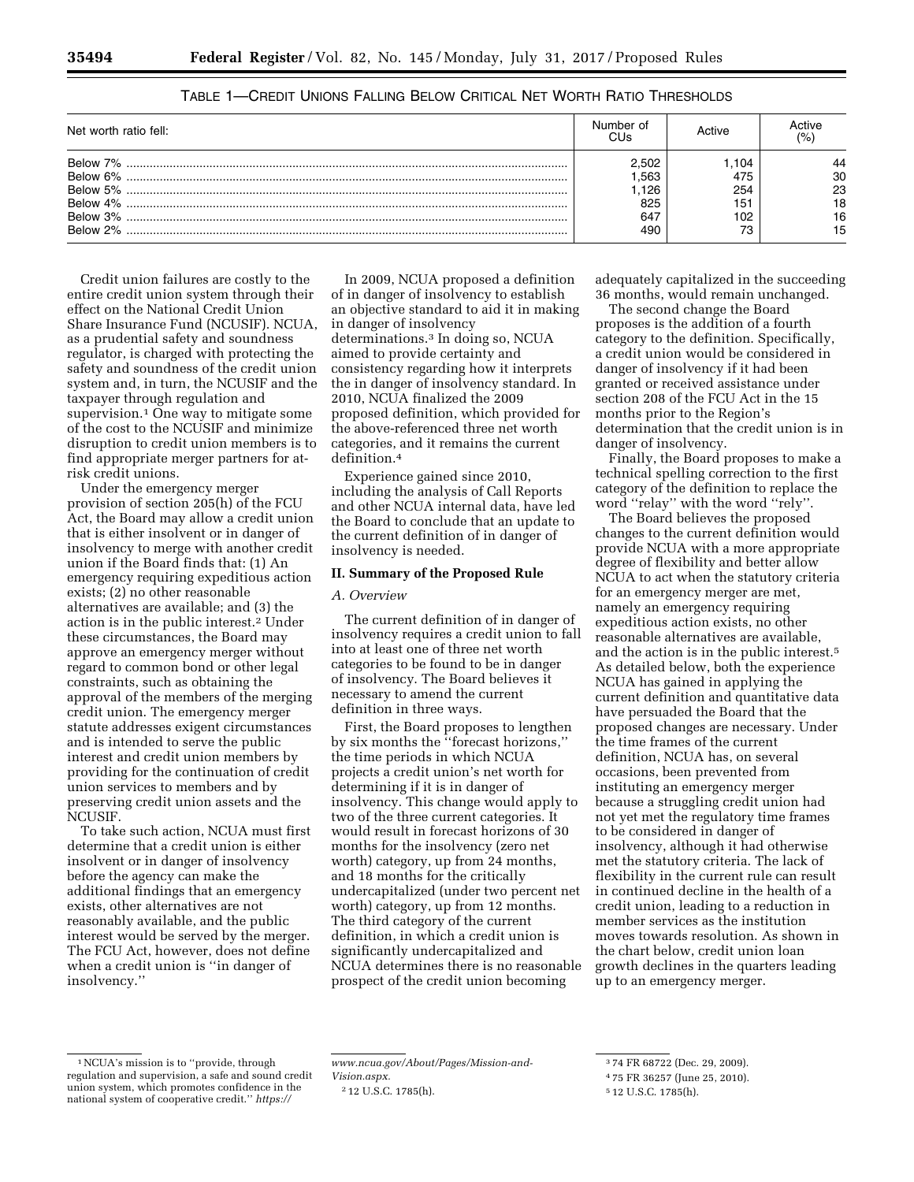| Net worth ratio fell: | Number of | <b>\ctive</b> | ACTIVA |
|-----------------------|-----------|---------------|--------|
|                       | 2.502     | l.104         |        |
|                       | .563      | 475           | 30     |
|                       | 126       | 254           | 23     |
|                       | 825       | 151           | 18     |
|                       | 647       | 102           | 16     |
| Below 2%              | 490       |               | 15     |

## TABLE 1—CREDIT UNIONS FALLING BELOW CRITICAL NET WORTH RATIO THRESHOLDS

Credit union failures are costly to the entire credit union system through their effect on the National Credit Union Share Insurance Fund (NCUSIF). NCUA, as a prudential safety and soundness regulator, is charged with protecting the safety and soundness of the credit union system and, in turn, the NCUSIF and the taxpayer through regulation and supervision.<sup>1</sup> One way to mitigate some of the cost to the NCUSIF and minimize disruption to credit union members is to find appropriate merger partners for atrisk credit unions.

Under the emergency merger provision of section 205(h) of the FCU Act, the Board may allow a credit union that is either insolvent or in danger of insolvency to merge with another credit union if the Board finds that: (1) An emergency requiring expeditious action exists; (2) no other reasonable alternatives are available; and (3) the action is in the public interest.2 Under these circumstances, the Board may approve an emergency merger without regard to common bond or other legal constraints, such as obtaining the approval of the members of the merging credit union. The emergency merger statute addresses exigent circumstances and is intended to serve the public interest and credit union members by providing for the continuation of credit union services to members and by preserving credit union assets and the NCUSIF.

To take such action, NCUA must first determine that a credit union is either insolvent or in danger of insolvency before the agency can make the additional findings that an emergency exists, other alternatives are not reasonably available, and the public interest would be served by the merger. The FCU Act, however, does not define when a credit union is ''in danger of insolvency.''

In 2009, NCUA proposed a definition of in danger of insolvency to establish an objective standard to aid it in making in danger of insolvency determinations.3 In doing so, NCUA aimed to provide certainty and consistency regarding how it interprets the in danger of insolvency standard. In 2010, NCUA finalized the 2009 proposed definition, which provided for the above-referenced three net worth categories, and it remains the current definition.4

Experience gained since 2010, including the analysis of Call Reports and other NCUA internal data, have led the Board to conclude that an update to the current definition of in danger of insolvency is needed.

#### **II. Summary of the Proposed Rule**

### *A. Overview*

The current definition of in danger of insolvency requires a credit union to fall into at least one of three net worth categories to be found to be in danger of insolvency. The Board believes it necessary to amend the current definition in three ways.

First, the Board proposes to lengthen by six months the ''forecast horizons,'' the time periods in which NCUA projects a credit union's net worth for determining if it is in danger of insolvency. This change would apply to two of the three current categories. It would result in forecast horizons of 30 months for the insolvency (zero net worth) category, up from 24 months, and 18 months for the critically undercapitalized (under two percent net worth) category, up from 12 months. The third category of the current definition, in which a credit union is significantly undercapitalized and NCUA determines there is no reasonable prospect of the credit union becoming

adequately capitalized in the succeeding 36 months, would remain unchanged.

The second change the Board proposes is the addition of a fourth category to the definition. Specifically, a credit union would be considered in danger of insolvency if it had been granted or received assistance under section 208 of the FCU Act in the 15 months prior to the Region's determination that the credit union is in danger of insolvency.

Finally, the Board proposes to make a technical spelling correction to the first category of the definition to replace the word ''relay'' with the word ''rely''.

The Board believes the proposed changes to the current definition would provide NCUA with a more appropriate degree of flexibility and better allow NCUA to act when the statutory criteria for an emergency merger are met, namely an emergency requiring expeditious action exists, no other reasonable alternatives are available, and the action is in the public interest.5 As detailed below, both the experience NCUA has gained in applying the current definition and quantitative data have persuaded the Board that the proposed changes are necessary. Under the time frames of the current definition, NCUA has, on several occasions, been prevented from instituting an emergency merger because a struggling credit union had not yet met the regulatory time frames to be considered in danger of insolvency, although it had otherwise met the statutory criteria. The lack of flexibility in the current rule can result in continued decline in the health of a credit union, leading to a reduction in member services as the institution moves towards resolution. As shown in the chart below, credit union loan growth declines in the quarters leading up to an emergency merger.

<sup>1</sup>NCUA's mission is to ''provide, through regulation and supervision, a safe and sound credit union system, which promotes confidence in the national system of cooperative credit.'' *https://*

*www.ncua.gov/About/Pages/Mission-and-Vision.aspx.* 

<sup>2</sup> 12 U.S.C. 1785(h).

<sup>3</sup> 74 FR 68722 (Dec. 29, 2009).

<sup>4</sup> 75 FR 36257 (June 25, 2010).

<sup>5</sup> 12 U.S.C. 1785(h).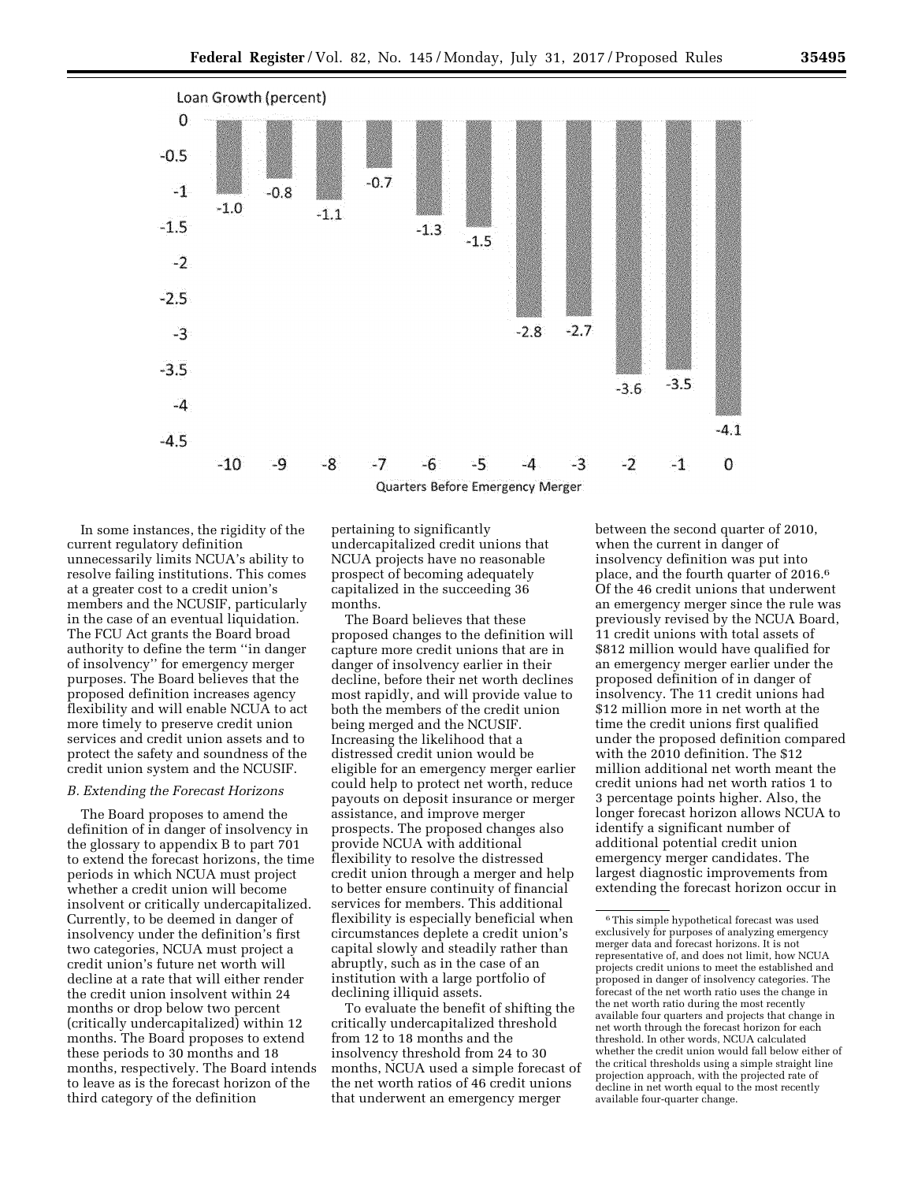

In some instances, the rigidity of the current regulatory definition unnecessarily limits NCUA's ability to resolve failing institutions. This comes at a greater cost to a credit union's members and the NCUSIF, particularly in the case of an eventual liquidation. The FCU Act grants the Board broad authority to define the term ''in danger of insolvency'' for emergency merger purposes. The Board believes that the proposed definition increases agency flexibility and will enable NCUA to act more timely to preserve credit union services and credit union assets and to protect the safety and soundness of the credit union system and the NCUSIF.

## *B. Extending the Forecast Horizons*

The Board proposes to amend the definition of in danger of insolvency in the glossary to appendix B to part 701 to extend the forecast horizons, the time periods in which NCUA must project whether a credit union will become insolvent or critically undercapitalized. Currently, to be deemed in danger of insolvency under the definition's first two categories, NCUA must project a credit union's future net worth will decline at a rate that will either render the credit union insolvent within 24 months or drop below two percent (critically undercapitalized) within 12 months. The Board proposes to extend these periods to 30 months and 18 months, respectively. The Board intends to leave as is the forecast horizon of the third category of the definition

pertaining to significantly undercapitalized credit unions that NCUA projects have no reasonable prospect of becoming adequately capitalized in the succeeding 36 months.

The Board believes that these proposed changes to the definition will capture more credit unions that are in danger of insolvency earlier in their decline, before their net worth declines most rapidly, and will provide value to both the members of the credit union being merged and the NCUSIF. Increasing the likelihood that a distressed credit union would be eligible for an emergency merger earlier could help to protect net worth, reduce payouts on deposit insurance or merger assistance, and improve merger prospects. The proposed changes also provide NCUA with additional flexibility to resolve the distressed credit union through a merger and help to better ensure continuity of financial services for members. This additional flexibility is especially beneficial when circumstances deplete a credit union's capital slowly and steadily rather than abruptly, such as in the case of an institution with a large portfolio of declining illiquid assets.

To evaluate the benefit of shifting the critically undercapitalized threshold from 12 to 18 months and the insolvency threshold from 24 to 30 months, NCUA used a simple forecast of the net worth ratios of 46 credit unions that underwent an emergency merger

between the second quarter of 2010, when the current in danger of insolvency definition was put into place, and the fourth quarter of 2016.6 Of the 46 credit unions that underwent an emergency merger since the rule was previously revised by the NCUA Board, 11 credit unions with total assets of \$812 million would have qualified for an emergency merger earlier under the proposed definition of in danger of insolvency. The 11 credit unions had \$12 million more in net worth at the time the credit unions first qualified under the proposed definition compared with the 2010 definition. The \$12 million additional net worth meant the credit unions had net worth ratios 1 to 3 percentage points higher. Also, the longer forecast horizon allows NCUA to identify a significant number of additional potential credit union emergency merger candidates. The largest diagnostic improvements from extending the forecast horizon occur in

 $^{\rm 6}$  This simple hypothetical forecast was used exclusively for purposes of analyzing emergency merger data and forecast horizons. It is not representative of, and does not limit, how NCUA projects credit unions to meet the established and proposed in danger of insolvency categories. The forecast of the net worth ratio uses the change in the net worth ratio during the most recently available four quarters and projects that change in net worth through the forecast horizon for each threshold. In other words, NCUA calculated whether the credit union would fall below either of the critical thresholds using a simple straight line projection approach, with the projected rate of decline in net worth equal to the most recently available four-quarter change.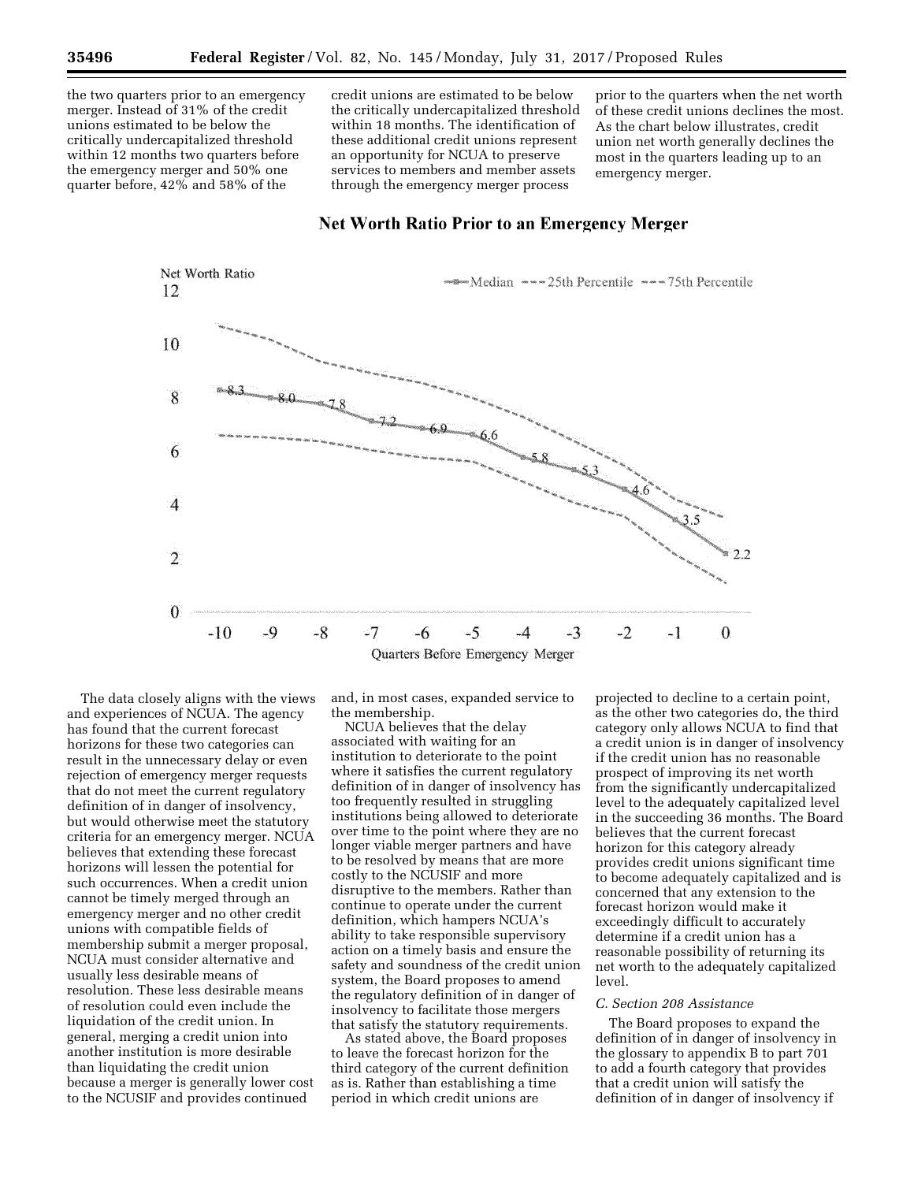the two quarters prior to an emergency merger. Instead of 31% of the credit unions estimated to be below the critically undercapitalized threshold within 12 months two quarters before the emergency merger and 50% one quarter before, 42% and 58% of the

credit unions are estimated to be below the critically undercapitalized threshold within 18 months. The identification of these additional credit unions represent an opportunity for NCUA to preserve services to members and member assets through the emergency merger process

prior to the quarters when the net worth of these credit unions declines the most. As the chart below illustrates, credit union net worth generally declines the most in the quarters leading up to an emergency merger.



## **Net Worth Ratio Prior to an Emergency Merger**

The data closely aligns with the views and experiences of NCUA. The agency has found that the current forecast horizons for these two categories can result in the unnecessary delay or even rejection of emergency merger requests that do not meet the current regulatory definition of in danger of insolvency, but would otherwise meet the statutory criteria for an emergency merger. NCUA believes that extending these forecast horizons will lessen the potential for such occurrences. When a credit union cannot be timely merged through an emergency merger and no other credit unions with compatible fields of membership submit a merger proposal, NCUA must consider alternative and usually less desirable means of resolution. These less desirable means of resolution could even include the liquidation of the credit union. In general, merging a credit union into another institution is more desirable than liquidating the credit union because a merger is generally lower cost to the NCUSIF and provides continued

and, in most cases, expanded service to the membership.

NCUA believes that the delay associated with waiting for an institution to deteriorate to the point where it satisfies the current regulatory definition of in danger of insolvency has too frequently resulted in struggling institutions being allowed to deteriorate over time to the point where they are no longer viable merger partners and have to be resolved by means that are more costly to the NCUSIF and more disruptive to the members. Rather than continue to operate under the current definition, which hampers NCUA's ability to take responsible supervisory action on a timely basis and ensure the safety and soundness of the credit union system, the Board proposes to amend the regulatory definition of in danger of insolvency to facilitate those mergers that satisfy the statutory requirements.

As stated above, the Board proposes to leave the forecast horizon for the third category of the current definition as is. Rather than establishing a time period in which credit unions are

projected to decline to a certain point, as the other two categories do, the third category only allows NCUA to find that a credit union is in danger of insolvency if the credit union has no reasonable prospect of improving its net worth from the significantly undercapitalized level to the adequately capitalized level in the succeeding 36 months. The Board believes that the current forecast horizon for this category already provides credit unions significant time to become adequately capitalized and is concerned that any extension to the forecast horizon would make it exceedingly difficult to accurately determine if a credit union has a reasonable possibility of returning its net worth to the adequately capitalized level.

## *C. Section 208 Assistance*

The Board proposes to expand the definition of in danger of insolvency in the glossary to appendix B to part 701 to add a fourth category that provides that a credit union will satisfy the definition of in danger of insolvency if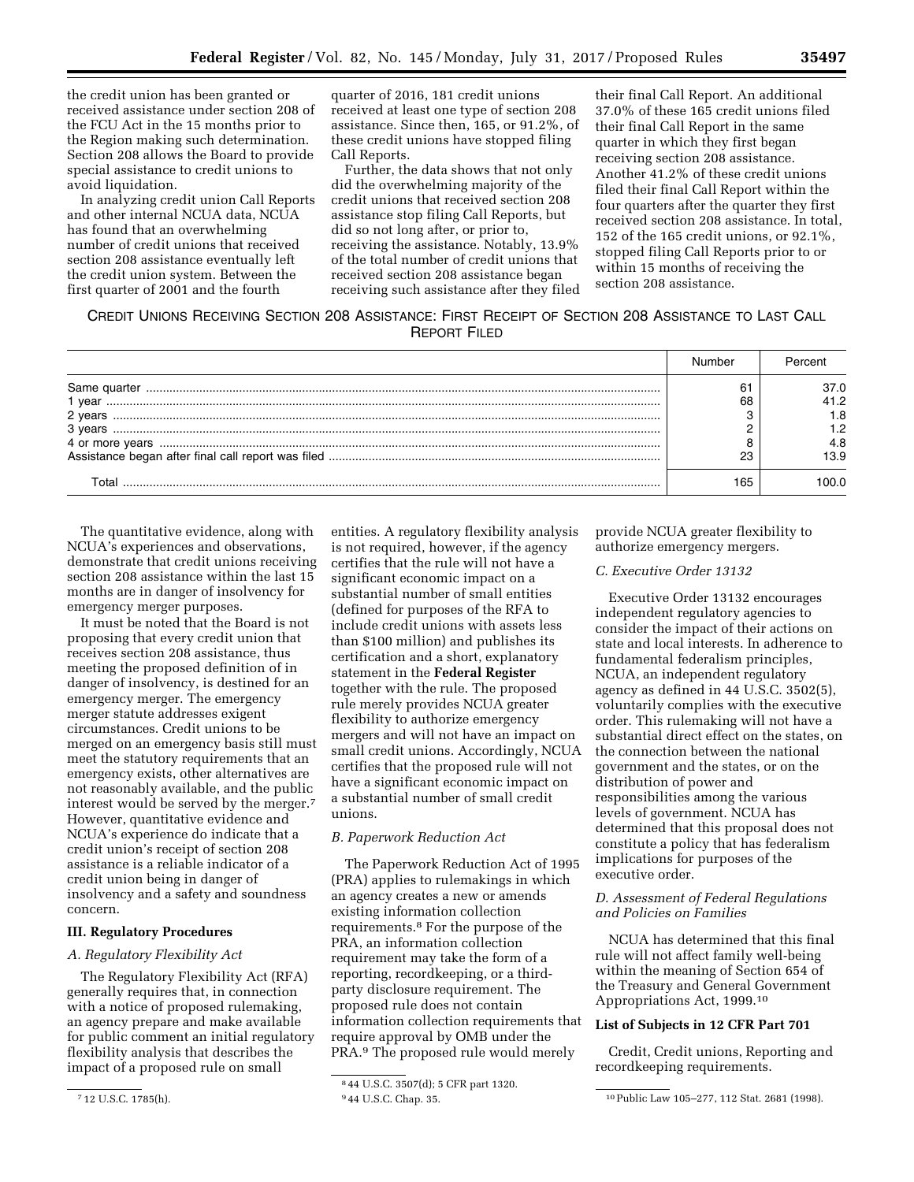the credit union has been granted or received assistance under section 208 of the FCU Act in the 15 months prior to the Region making such determination. Section 208 allows the Board to provide special assistance to credit unions to avoid liquidation.

In analyzing credit union Call Reports and other internal NCUA data, NCUA has found that an overwhelming number of credit unions that received section 208 assistance eventually left the credit union system. Between the first quarter of 2001 and the fourth

quarter of 2016, 181 credit unions received at least one type of section 208 assistance. Since then, 165, or 91.2%, of these credit unions have stopped filing Call Reports.

Further, the data shows that not only did the overwhelming majority of the credit unions that received section 208 assistance stop filing Call Reports, but did so not long after, or prior to, receiving the assistance. Notably, 13.9% of the total number of credit unions that received section 208 assistance began receiving such assistance after they filed

their final Call Report. An additional 37.0% of these 165 credit unions filed their final Call Report in the same quarter in which they first began receiving section 208 assistance. Another 41.2% of these credit unions filed their final Call Report within the four quarters after the quarter they first received section 208 assistance. In total, 152 of the 165 credit unions, or 92.1%, stopped filing Call Reports prior to or within 15 months of receiving the section 208 assistance.

CREDIT UNIONS RECEIVING SECTION 208 ASSISTANCE: FIRST RECEIPT OF SECTION 208 ASSISTANCE TO LAST CALL REPORT FILED

|         |     | 37.O |
|---------|-----|------|
| 1 vear  | 68  | 41.2 |
| 2 years |     | 1.8  |
| 3 vears |     |      |
|         |     | 4.8  |
|         |     | 13.9 |
|         | 165 |      |

The quantitative evidence, along with NCUA's experiences and observations, demonstrate that credit unions receiving section 208 assistance within the last 15 months are in danger of insolvency for emergency merger purposes.

It must be noted that the Board is not proposing that every credit union that receives section 208 assistance, thus meeting the proposed definition of in danger of insolvency, is destined for an emergency merger. The emergency merger statute addresses exigent circumstances. Credit unions to be merged on an emergency basis still must meet the statutory requirements that an emergency exists, other alternatives are not reasonably available, and the public interest would be served by the merger.7 However, quantitative evidence and NCUA's experience do indicate that a credit union's receipt of section 208 assistance is a reliable indicator of a credit union being in danger of insolvency and a safety and soundness concern.

## **III. Regulatory Procedures**

#### *A. Regulatory Flexibility Act*

The Regulatory Flexibility Act (RFA) generally requires that, in connection with a notice of proposed rulemaking, an agency prepare and make available for public comment an initial regulatory flexibility analysis that describes the impact of a proposed rule on small

entities. A regulatory flexibility analysis is not required, however, if the agency certifies that the rule will not have a significant economic impact on a substantial number of small entities (defined for purposes of the RFA to include credit unions with assets less than \$100 million) and publishes its certification and a short, explanatory statement in the **Federal Register**  together with the rule. The proposed rule merely provides NCUA greater flexibility to authorize emergency mergers and will not have an impact on small credit unions. Accordingly, NCUA certifies that the proposed rule will not have a significant economic impact on a substantial number of small credit unions.

## *B. Paperwork Reduction Act*

The Paperwork Reduction Act of 1995 (PRA) applies to rulemakings in which an agency creates a new or amends existing information collection requirements.8 For the purpose of the PRA, an information collection requirement may take the form of a reporting, recordkeeping, or a thirdparty disclosure requirement. The proposed rule does not contain information collection requirements that require approval by OMB under the PRA.9 The proposed rule would merely

provide NCUA greater flexibility to authorize emergency mergers.

## *C. Executive Order 13132*

Executive Order 13132 encourages independent regulatory agencies to consider the impact of their actions on state and local interests. In adherence to fundamental federalism principles, NCUA, an independent regulatory agency as defined in 44 U.S.C. 3502(5), voluntarily complies with the executive order. This rulemaking will not have a substantial direct effect on the states, on the connection between the national government and the states, or on the distribution of power and responsibilities among the various levels of government. NCUA has determined that this proposal does not constitute a policy that has federalism implications for purposes of the executive order.

## *D. Assessment of Federal Regulations and Policies on Families*

NCUA has determined that this final rule will not affect family well-being within the meaning of Section 654 of the Treasury and General Government Appropriations Act, 1999.10

#### **List of Subjects in 12 CFR Part 701**

Credit, Credit unions, Reporting and recordkeeping requirements.

<sup>7</sup> 12 U.S.C. 1785(h).

<sup>8</sup> 44 U.S.C. 3507(d); 5 CFR part 1320.

<sup>9</sup> 44 U.S.C. Chap. 35. 10Public Law 105–277, 112 Stat. 2681 (1998).